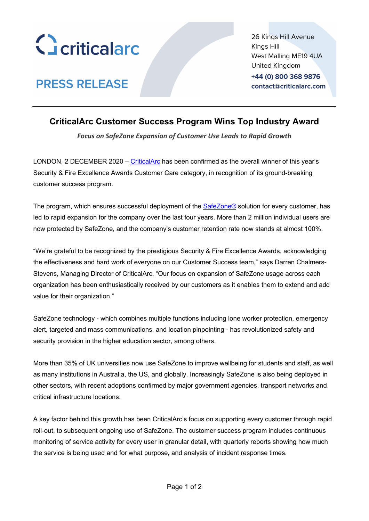

**PRESS RELEASE** 

26 Kings Hill Avenue Kings Hill West Malling ME19 4UA United Kingdom +44 (0) 800 368 9876

contact@criticalarc.com

# **CriticalArc Customer Success Program Wins Top Industry Award**

*Focus on SafeZone Expansion of Customer Use Leads to Rapid Growth*

LONDON, 2 DECEMBER 2020 – CriticalArc has been confirmed as the overall winner of this year's Security & Fire Excellence Awards Customer Care category, in recognition of its ground-breaking customer success program.

The program, which ensures successful deployment of the SafeZone® solution for every customer, has led to rapid expansion for the company over the last four years. More than 2 million individual users are now protected by SafeZone, and the company's customer retention rate now stands at almost 100%.

"We're grateful to be recognized by the prestigious Security & Fire Excellence Awards, acknowledging the effectiveness and hard work of everyone on our Customer Success team," says Darren Chalmers-Stevens, Managing Director of CriticalArc. "Our focus on expansion of SafeZone usage across each organization has been enthusiastically received by our customers as it enables them to extend and add value for their organization."

SafeZone technology - which combines multiple functions including lone worker protection, emergency alert, targeted and mass communications, and location pinpointing - has revolutionized safety and security provision in the higher education sector, among others.

More than 35% of UK universities now use SafeZone to improve wellbeing for students and staff, as well as many institutions in Australia, the US, and globally. Increasingly SafeZone is also being deployed in other sectors, with recent adoptions confirmed by major government agencies, transport networks and critical infrastructure locations.

A key factor behind this growth has been CriticalArc's focus on supporting every customer through rapid roll-out, to subsequent ongoing use of SafeZone. The customer success program includes continuous monitoring of service activity for every user in granular detail, with quarterly reports showing how much the service is being used and for what purpose, and analysis of incident response times.